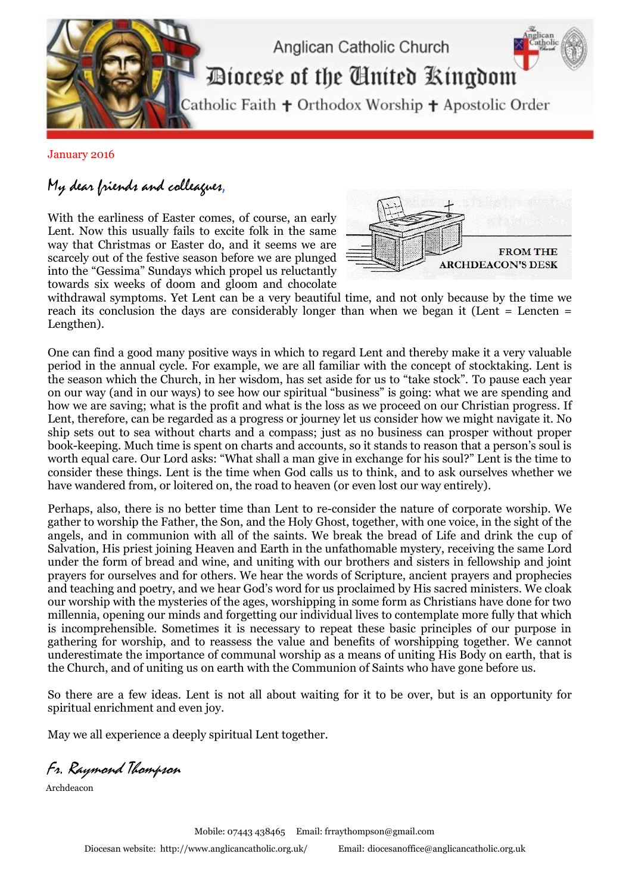

January 2016

## My dear friends and colleagues,

With the earliness of Easter comes, of course, an early Lent. Now this usually fails to excite folk in the same way that Christmas or Easter do, and it seems we are scarcely out of the festive season before we are plunged into the "Gessima" Sundays which propel us reluctantly towards six weeks of doom and gloom and chocolate



withdrawal symptoms. Yet Lent can be a very beautiful time, and not only because by the time we reach its conclusion the days are considerably longer than when we began it (Lent = Lencten = Lengthen).

One can find a good many positive ways in which to regard Lent and thereby make it a very valuable period in the annual cycle. For example, we are all familiar with the concept of stocktaking. Lent is the season which the Church, in her wisdom, has set aside for us to "take stock". To pause each year on our way (and in our ways) to see how our spiritual "business" is going: what we are spending and how we are saving; what is the profit and what is the loss as we proceed on our Christian progress. If Lent, therefore, can be regarded as a progress or journey let us consider how we might navigate it. No ship sets out to sea without charts and a compass; just as no business can prosper without proper book-keeping. Much time is spent on charts and accounts, so it stands to reason that a person's soul is worth equal care. Our Lord asks: "What shall a man give in exchange for his soul?" Lent is the time to consider these things. Lent is the time when God calls us to think, and to ask ourselves whether we have wandered from, or loitered on, the road to heaven (or even lost our way entirely).

Perhaps, also, there is no better time than Lent to re-consider the nature of corporate worship. We gather to worship the Father, the Son, and the Holy Ghost, together, with one voice, in the sight of the angels, and in communion with all of the saints. We break the bread of Life and drink the cup of Salvation, His priest joining Heaven and Earth in the unfathomable mystery, receiving the same Lord under the form of bread and wine, and uniting with our brothers and sisters in fellowship and joint prayers for ourselves and for others. We hear the words of Scripture, ancient prayers and prophecies and teaching and poetry, and we hear God's word for us proclaimed by His sacred ministers. We cloak our worship with the mysteries of the ages, worshipping in some form as Christians have done for two millennia, opening our minds and forgetting our individual lives to contemplate more fully that which is incomprehensible. Sometimes it is necessary to repeat these basic principles of our purpose in gathering for worship, and to reassess the value and benefits of worshipping together. We cannot underestimate the importance of communal worship as a means of uniting His Body on earth, that is the Church, and of uniting us on earth with the Communion of Saints who have gone before us.

So there are a few ideas. Lent is not all about waiting for it to be over, but is an opportunity for spiritual enrichment and even joy.

May we all experience a deeply spiritual Lent together.

Fr. Raymond Thompson

Archdeacon